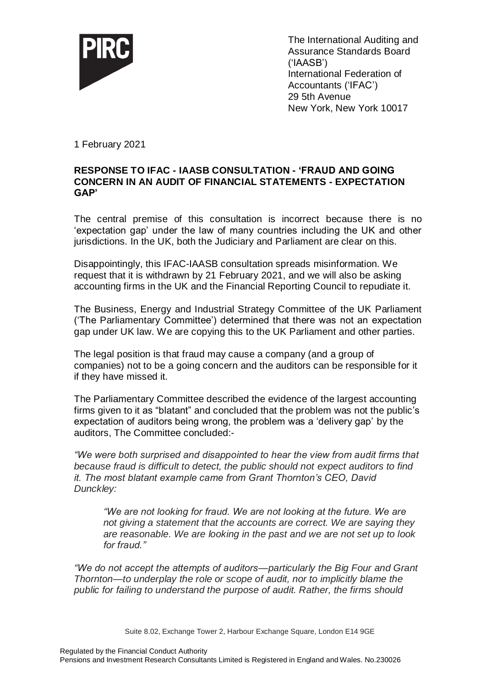

The International Auditing and Assurance Standards Board ('IAASB') International Federation of Accountants ('IFAC') 29 5th Avenue New York, New York 10017

1 February 2021

## **RESPONSE TO IFAC - IAASB CONSULTATION - 'FRAUD AND GOING CONCERN IN AN AUDIT OF FINANCIAL STATEMENTS - EXPECTATION GAP'**

The central premise of this consultation is incorrect because there is no 'expectation gap' under the law of many countries including the UK and other jurisdictions. In the UK, both the Judiciary and Parliament are clear on this.

Disappointingly, this IFAC-IAASB consultation spreads misinformation. We request that it is withdrawn by 21 February 2021, and we will also be asking accounting firms in the UK and the Financial Reporting Council to repudiate it.

The Business, Energy and Industrial Strategy Committee of the UK Parliament ('The Parliamentary Committee') determined that there was not an expectation gap under UK law. We are copying this to the UK Parliament and other parties.

The legal position is that fraud may cause a company (and a group of companies) not to be a going concern and the auditors can be responsible for it if they have missed it.

The Parliamentary Committee described the evidence of the largest accounting firms given to it as "blatant" and concluded that the problem was not the public's expectation of auditors being wrong, the problem was a 'delivery gap' by the auditors, The Committee concluded:-

*"We were both surprised and disappointed to hear the view from audit firms that because fraud is difficult to detect, the public should not expect auditors to find it. The most blatant example came from Grant Thornton's CEO, David Dunckley:*

*"We are not looking for fraud. We are not looking at the future. We are not giving a statement that the accounts are correct. We are saying they are reasonable. We are looking in the past and we are not set up to look for fraud."*

*"We do not accept the attempts of auditors—particularly the Big Four and Grant Thornton—to underplay the role or scope of audit, nor to implicitly blame the public for failing to understand the purpose of audit. Rather, the firms should* 

Suite 8.02, Exchange Tower 2, Harbour Exchange Square, London E14 9GE

Regulated by the Financial Conduct Authority

Pensions and Investment Research Consultants Limited is Registered in England and Wales. No.230026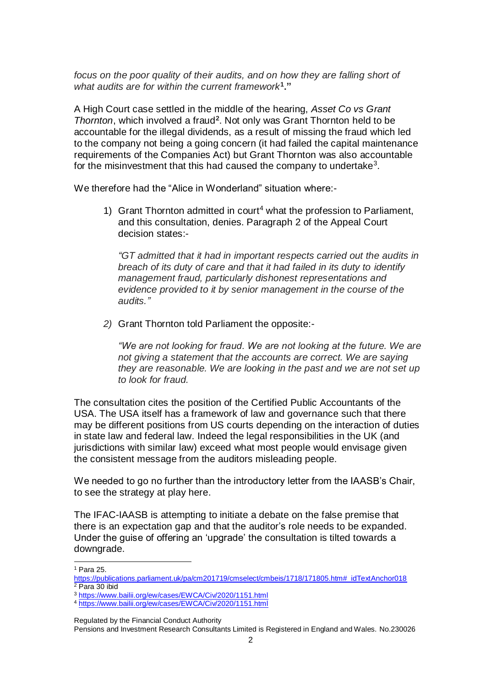*focus on the poor quality of their audits, and on how they are falling short of what audits are for within the current framework***<sup>1</sup> ."**

A High Court case settled in the middle of the hearing, *Asset Co vs Grant Thornton*, which involved a fraud**<sup>2</sup>** . Not only was Grant Thornton held to be accountable for the illegal dividends, as a result of missing the fraud which led to the company not being a going concern (it had failed the capital maintenance requirements of the Companies Act) but Grant Thornton was also accountable for the misinvestment that this had caused the company to undertake<sup>3</sup>.

We therefore had the "Alice in Wonderland" situation where:-

1) Grant Thornton admitted in court<sup>4</sup> what the profession to Parliament, and this consultation, denies. Paragraph 2 of the Appeal Court decision states:-

*"GT admitted that it had in important respects carried out the audits in breach of its duty of care and that it had failed in its duty to identify management fraud, particularly dishonest representations and evidence provided to it by senior management in the course of the audits."*

*2)* Grant Thornton told Parliament the opposite:-

*"We are not looking for fraud. We are not looking at the future. We are not giving a statement that the accounts are correct. We are saying they are reasonable. We are looking in the past and we are not set up to look for fraud.*

The consultation cites the position of the Certified Public Accountants of the USA. The USA itself has a framework of law and governance such that there may be different positions from US courts depending on the interaction of duties in state law and federal law. Indeed the legal responsibilities in the UK (and jurisdictions with similar law) exceed what most people would envisage given the consistent message from the auditors misleading people.

We needed to go no further than the introductory letter from the IAASB's Chair, to see the strategy at play here.

The IFAC-IAASB is attempting to initiate a debate on the false premise that there is an expectation gap and that the auditor's role needs to be expanded. Under the guise of offering an 'upgrade' the consultation is tilted towards a downgrade.

-

Regulated by the Financial Conduct Authority

Pensions and Investment Research Consultants Limited is Registered in England and Wales. No.230026

<sup>1</sup> Para 25.

[https://publications.parliament.uk/pa/cm201719/cmselect/cmbeis/1718/171805.htm#\\_idTextAnchor018](https://publications.parliament.uk/pa/cm201719/cmselect/cmbeis/1718/171805.htm#_idTextAnchor018) <sup>2</sup> Para 30 ibid

<sup>3</sup> <https://www.bailii.org/ew/cases/EWCA/Civ/2020/1151.html>

<sup>4</sup> <https://www.bailii.org/ew/cases/EWCA/Civ/2020/1151.html>